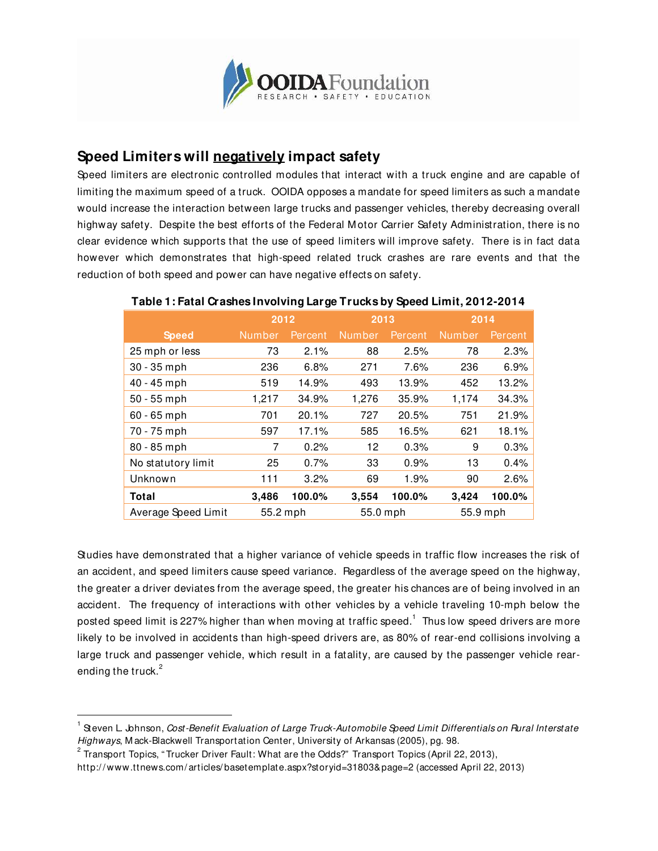

## **Speed Limiters will negatively impact safety**

Speed limiters are electronic controlled modules that interact with a truck engine and are capable of limiting the maximum speed of a truck. OOIDA opposes a mandate for speed limiters as such a mandate would increase the interaction between large trucks and passenger vehicles, thereby decreasing overall highway safety. Despite the best efforts of the Federal M otor Carrier Safety Administration, there is no clear evidence which supports that the use of speed limiters will improve safety. There is in fact data however which demonstrates that high-speed related truck crashes are rare events and that the reduction of both speed and power can have negative effects on safety.

|                     | 2012          |         | 2013          |         | 2014          |         |
|---------------------|---------------|---------|---------------|---------|---------------|---------|
| <b>Speed</b>        | <b>Number</b> | Percent | <b>Number</b> | Percent | <b>Number</b> | Percent |
| 25 mph or less      | 73            | 2.1%    | 88            | 2.5%    | 78            | 2.3%    |
| $30 - 35$ mph       | 236           | 6.8%    | 271           | 7.6%    | 236           | 6.9%    |
| 40 - 45 mph         | 519           | 14.9%   | 493           | 13.9%   | 452           | 13.2%   |
| $50 - 55$ mph       | 1,217         | 34.9%   | 1,276         | 35.9%   | 1,174         | 34.3%   |
| $60 - 65$ mph       | 701           | 20.1%   | 727           | 20.5%   | 751           | 21.9%   |
| 70 - 75 mph         | 597           | 17.1%   | 585           | 16.5%   | 621           | 18.1%   |
| 80 - 85 mph         | 7             | 0.2%    | 12            | 0.3%    | 9             | 0.3%    |
| No statutory limit  | 25            | 0.7%    | 33            | 0.9%    | 13            | 0.4%    |
| Unknown             | 111           | 3.2%    | 69            | 1.9%    | 90            | 2.6%    |
| Total               | 3,486         | 100.0%  | 3,554         | 100.0%  | 3,424         | 100.0%  |
| Average Speed Limit | 55.2 mph      |         | 55.0 mph      |         | 55.9 mph      |         |

## **Table 1: Fatal Crashes Involving Large Trucks by Speed Limit, 2012-2014**

Studies have demonstrated that a higher variance of vehicle speeds in traffic flow increases the risk of an accident, and speed limiters cause speed variance. Regardless of the average speed on the highway, the greater a driver deviates from the average speed, the greater his chances are of being involved in an accident. The frequency of interactions with other vehicles by a vehicle traveling 10-mph below the posted speed limit is 227% higher than when moving at traffic speed. $^{\rm 1}$  Thus low speed drivers are more likely to be involved in accidents than high-speed drivers are, as 80% of rear-end collisions involving a large truck and passenger vehicle, which result in a fatality, are caused by the passenger vehicle rearending the truck.<sup>2</sup>

-

 $^{\text{1}}$  Steven L. Johnson, *Cost-Benefit Evaluation of Large Truck-Automobile Speed Limit Differentials on Rural Interstate* Highways, M ack-Blackwell Transportation Center, University of Arkansas (2005), pg. 98.

 $^{\rm 2}$  Transport Topics, "Trucker Driver Fault: What are the Odds?" Transport Topics (April 22, 2013),

http:/ / www.ttnews.com/ articles/ basetemplate.aspx?storyid=31803&page=2 (accessed April 22, 2013)